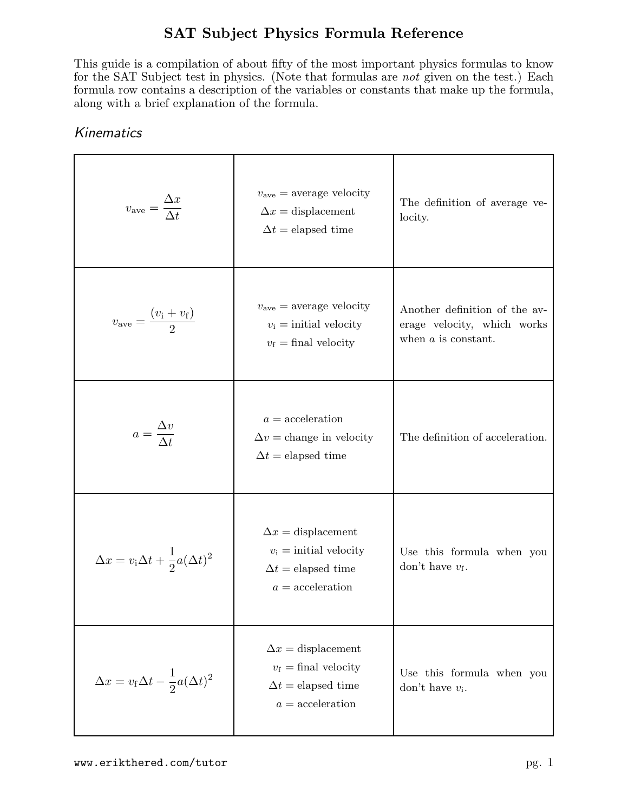This guide is a compilation of about fifty of the most important physics formulas to know for the SAT Subject test in physics. (Note that formulas are not given on the test.) Each formula row contains a description of the variables or constants that make up the formula, along with a brief explanation of the formula.

| $v_{\text{ave}} = \frac{\Delta x}{\Delta t}$                 | $v_{\text{ave}} =$ average velocity<br>$\Delta x =$ displacement<br>$\Delta t =$ elapsed time                | The definition of average ve-<br>locity.                                              |
|--------------------------------------------------------------|--------------------------------------------------------------------------------------------------------------|---------------------------------------------------------------------------------------|
| $v_{\text{ave}} = \frac{(v_{\text{i}} + v_{\text{f}})}{2}$   | $v_{\text{ave}} =$ average velocity<br>$v_i$ = initial velocity<br>$v_{\rm f} =$ final velocity              | Another definition of the av-<br>erage velocity, which works<br>when $a$ is constant. |
| $a = \frac{\Delta v}{\Delta t}$                              | $a = acceleration$<br>$\Delta v =$ change in velocity<br>$\Delta t =$ elapsed time                           | The definition of acceleration.                                                       |
| $\Delta x = v_{\rm i} \Delta t + \frac{1}{2} a (\Delta t)^2$ | $\Delta x =$ displacement<br>$v_i$ = initial velocity<br>$\Delta t =$ elapsed time<br>$a = acceleration$     | Use this formula when you<br>don't have $v_{\rm f}$ .                                 |
| $\Delta x = v_{\rm f} \Delta t - \frac{1}{2} a (\Delta t)^2$ | $\Delta x =$ displacement<br>$v_{\rm f} =$ final velocity<br>$\Delta t =$ elapsed time<br>$a = acceleration$ | Use this formula when you<br>don't have $v_i$ .                                       |

#### Kinematics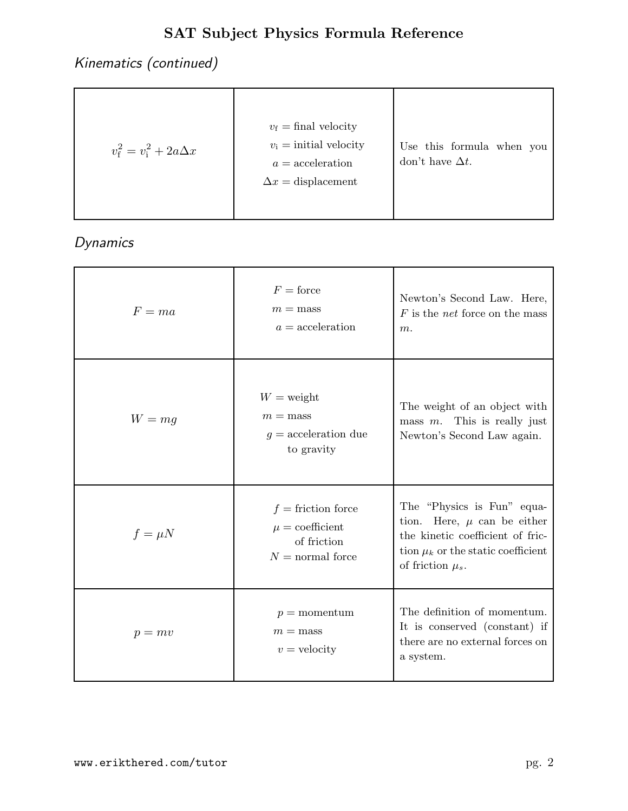Kinematics (continued)

| $v_{\rm f}^2 = v_{\rm i}^2 + 2a\Delta x$ | $v_{\rm f}$ = final velocity<br>$v_i =$ initial velocity<br>$a = acceleration$<br>$\Delta x =$ displacement | Use this formula when you<br>don't have $\Delta t$ . |
|------------------------------------------|-------------------------------------------------------------------------------------------------------------|------------------------------------------------------|
|------------------------------------------|-------------------------------------------------------------------------------------------------------------|------------------------------------------------------|

Dynamics

| $F=ma$      | $F =$ force<br>$m =$ mass<br>$a = acceleration$                                  | Newton's Second Law. Here,<br>$F$ is the <i>net</i> force on the mass<br>$m$ .                                                                                          |
|-------------|----------------------------------------------------------------------------------|-------------------------------------------------------------------------------------------------------------------------------------------------------------------------|
| $W = mg$    | $W =$ weight<br>$m =$ mass<br>$g =$ acceleration due<br>to gravity               | The weight of an object with<br>mass $m$ . This is really just<br>Newton's Second Law again.                                                                            |
| $f = \mu N$ | $f =$ friction force<br>$\mu =$ coefficient<br>of friction<br>$N =$ normal force | The "Physics is Fun" equa-<br>Here, $\mu$ can be either<br>tion.<br>the kinetic coefficient of fric-<br>tion $\mu_k$ or the static coefficient<br>of friction $\mu_s$ . |
| $p = mv$    | $p =$ momentum<br>$m =$ mass<br>$v =$ velocity                                   | The definition of momentum.<br>It is conserved (constant) if<br>there are no external forces on<br>a system.                                                            |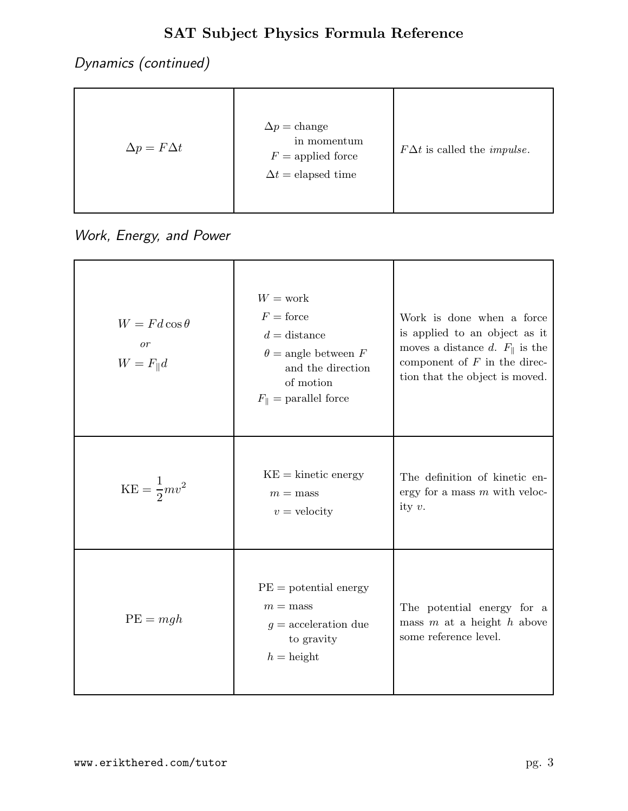Dynamics (continued)

| $\Delta p = F \Delta t$ | $\Delta p = \text{change}$<br>in momentum<br>$F =$ applied force<br>$\Delta t =$ elapsed time | $F\Delta t$ is called the <i>impulse</i> . |
|-------------------------|-----------------------------------------------------------------------------------------------|--------------------------------------------|
|-------------------------|-----------------------------------------------------------------------------------------------|--------------------------------------------|

Work, Energy, and Power

| $W = Fd\cos\theta$<br>$\overline{or}$<br>$W = F_{\parallel}d$ | $W = \text{work}$<br>$F =$ force<br>$d =$ distance<br>$\theta$ = angle between F<br>and the direction<br>of motion<br>$F_{\parallel}$ = parallel force | Work is done when a force<br>is applied to an object as it<br>moves a distance d. $F_{\parallel}$ is the<br>component of $F$ in the direc-<br>tion that the object is moved. |
|---------------------------------------------------------------|--------------------------------------------------------------------------------------------------------------------------------------------------------|------------------------------------------------------------------------------------------------------------------------------------------------------------------------------|
| $KE = \frac{1}{2}mv^2$                                        | $KE =$ kinetic energy<br>$m =$ mass<br>$v =$ velocity                                                                                                  | The definition of kinetic en-<br>ergy for a mass $m$ with veloc-<br>ity $v$ .                                                                                                |
| $PE = mgh$                                                    | $PE = potential energy$<br>$m =$ mass<br>$g =$ acceleration due<br>to gravity<br>$h =$ height                                                          | The potential energy for a<br>mass $m$ at a height $h$ above<br>some reference level.                                                                                        |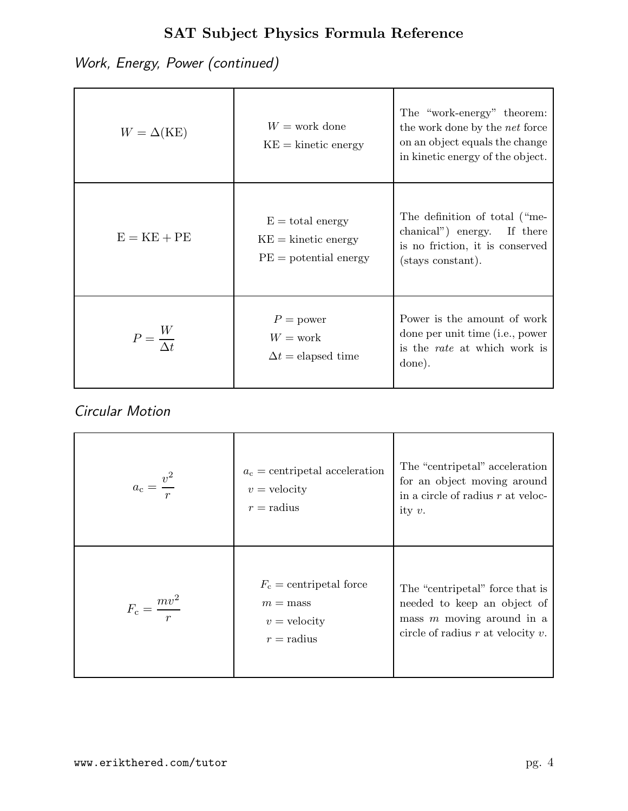Work, Energy, Power (continued)

| $W = \Delta(KE)$         | $W = \text{work done}$<br>$KE =$ kinetic energy                        | The "work-energy" theorem:<br>the work done by the <i>net</i> force<br>on an object equals the change<br>in kinetic energy of the object. |
|--------------------------|------------------------------------------------------------------------|-------------------------------------------------------------------------------------------------------------------------------------------|
| $E = KE + PE$            | $E =$ total energy<br>$KE =$ kinetic energy<br>$PE = potential$ energy | The definition of total ("me-<br>chanical") energy.<br>If there<br>is no friction, it is conserved<br>(stays constant).                   |
| $P = \frac{W}{\Delta t}$ | $P = power$<br>$W = \text{work}$<br>$\Delta t =$ elapsed time          | Power is the amount of work<br>done per unit time (i.e., power<br>is the <i>rate</i> at which work is<br>done).                           |

#### Circular Motion

| $a_{\rm c}=\frac{v^2}{\sqrt{2}}$ | $a_c$ = centripetal acceleration<br>$v =$ velocity<br>$r =$ radius        | The "centripetal" acceleration<br>for an object moving around<br>in a circle of radius $r$ at veloc-<br>ity $v$ .                       |
|----------------------------------|---------------------------------------------------------------------------|-----------------------------------------------------------------------------------------------------------------------------------------|
| $F_c = \frac{mv^2}{\sqrt{2}}$    | $F_c$ = centripetal force<br>$m =$ mass<br>$v =$ velocity<br>$r =$ radius | The "centripetal" force that is<br>needed to keep an object of<br>mass $m$ moving around in a<br>circle of radius $r$ at velocity $v$ . |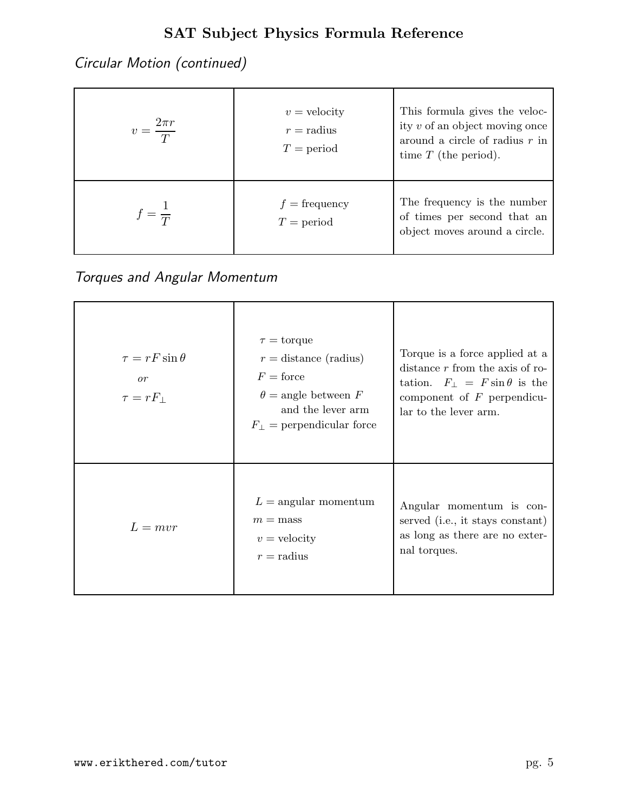Circular Motion (continued)

| $2\pi r$<br>$\overline{T}$ | $v =$ velocity<br>$r =$ radius<br>$T = period$ | This formula gives the veloc-<br>ity $v$ of an object moving once<br>around a circle of radius $r$ in<br>time $T$ (the period). |
|----------------------------|------------------------------------------------|---------------------------------------------------------------------------------------------------------------------------------|
| $= \frac{1}{T}$            | $f = \text{frequency}$<br>$T = period$         | The frequency is the number<br>of times per second that an<br>object moves around a circle.                                     |

Torques and Angular Momentum

| $\tau = rF\sin\theta$<br>or<br>$\tau = rF_{\perp}$ | $\tau =$ torque<br>$r =$ distance (radius)<br>$F =$ force<br>$\theta = \text{angle between } F$<br>and the lever arm<br>$F_{\perp}$ = perpendicular force | Torque is a force applied at a<br>distance $r$ from the axis of ro-<br>tation. $F_{\perp} = F \sin \theta$ is the<br>component of $F$ perpendicu-<br>lar to the lever arm. |
|----------------------------------------------------|-----------------------------------------------------------------------------------------------------------------------------------------------------------|----------------------------------------------------------------------------------------------------------------------------------------------------------------------------|
| $L = mvr$                                          | $L =$ angular momentum<br>$m =$ mass<br>$v =$ velocity<br>$r =$ radius                                                                                    | Angular momentum is con-<br>served (i.e., it stays constant)<br>as long as there are no exter-<br>nal torques.                                                             |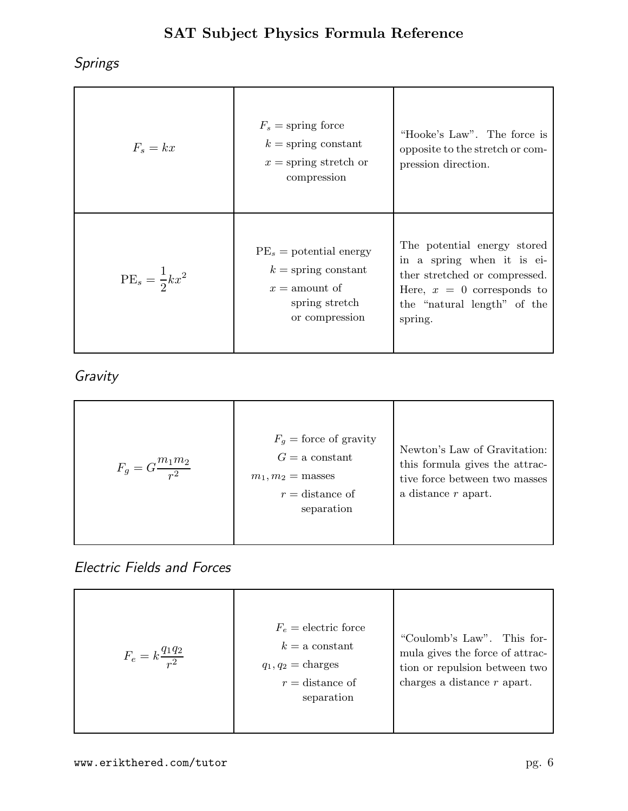Springs

| $F_s = kx$               | $F_s$ = spring force<br>$k =$ spring constant<br>$x =$ spring stretch or<br>compression                   | "Hooke's Law". The force is<br>opposite to the stretch or com-<br>pression direction.                                                                                |
|--------------------------|-----------------------------------------------------------------------------------------------------------|----------------------------------------------------------------------------------------------------------------------------------------------------------------------|
| $PE_s = \frac{1}{2}kx^2$ | $PE_s =$ potential energy<br>$k =$ spring constant<br>$x =$ amount of<br>spring stretch<br>or compression | The potential energy stored<br>in a spring when it is ei-<br>ther stretched or compressed.<br>Here, $x = 0$ corresponds to<br>the "natural length" of the<br>spring. |

Gravity

| $F_g = G \frac{m_1 m_2}{r^2}$ | $F_q$ = force of gravity<br>$G = a constant$<br>$m_1, m_2 =$ masses<br>$r =$ distance of<br>separation | Newton's Law of Gravitation:<br>this formula gives the attrac-<br>tive force between two masses<br>a distance r apart. |
|-------------------------------|--------------------------------------------------------------------------------------------------------|------------------------------------------------------------------------------------------------------------------------|
|-------------------------------|--------------------------------------------------------------------------------------------------------|------------------------------------------------------------------------------------------------------------------------|

#### Electric Fields and Forces

| $F_e = k \frac{q_1 q_2}{r^2}$ | $F_e =$ electric force<br>$k = a$ constant<br>$q_1, q_2$ = charges<br>$r =$ distance of<br>separation | "Coulomb's Law". This for-<br>mula gives the force of attrac-<br>tion or repulsion between two<br>charges a distance $r$ apart. |
|-------------------------------|-------------------------------------------------------------------------------------------------------|---------------------------------------------------------------------------------------------------------------------------------|
|-------------------------------|-------------------------------------------------------------------------------------------------------|---------------------------------------------------------------------------------------------------------------------------------|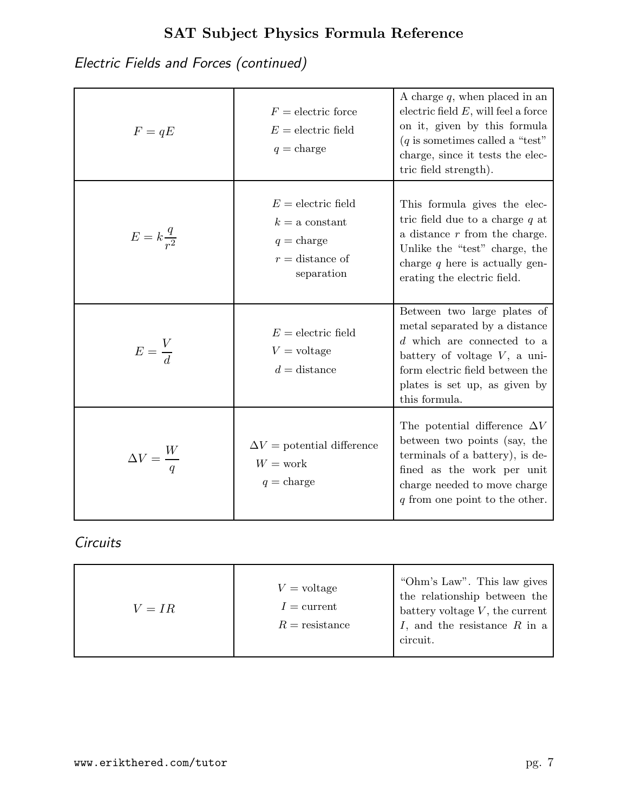Electric Fields and Forces (continued)

| $F=qE$                   | $F =$ electric force<br>$E =$ electric field<br>$q = \text{charge}$                                | A charge $q$ , when placed in an<br>electric field $E$ , will feel a force<br>on it, given by this formula<br>$(q$ is sometimes called a "test"<br>charge, since it tests the elec-<br>tric field strength).         |
|--------------------------|----------------------------------------------------------------------------------------------------|----------------------------------------------------------------------------------------------------------------------------------------------------------------------------------------------------------------------|
| $E = k \frac{q}{r^2}$    | $E =$ electric field<br>$k = a constant$<br>$q = \text{charge}$<br>$r =$ distance of<br>separation | This formula gives the elec-<br>tric field due to a charge $q$ at<br>a distance $r$ from the charge.<br>Unlike the "test" charge, the<br>charge $q$ here is actually gen-<br>erating the electric field.             |
| $E = \frac{V}{d}$        | $E =$ electric field<br>$V =$ voltage<br>$d =$ distance                                            | Between two large plates of<br>metal separated by a distance<br>$d$ which are connected to a<br>battery of voltage $V$ , a uni-<br>form electric field between the<br>plates is set up, as given by<br>this formula. |
| $\Delta V = \frac{W}{q}$ | $\Delta V =$ potential difference<br>$W = \text{work}$<br>$q = \text{charge}$                      | The potential difference $\Delta V$<br>between two points (say, the<br>terminals of a battery), is de-<br>fined as the work per unit<br>charge needed to move charge<br>$q$ from one point to the other.             |

#### **Circuits**

| $V = IR$ | $V = \text{voltage}$<br>$I =$ current<br>$R =$ resistance | "Ohm's Law". This law gives<br>the relationship between the<br>battery voltage $V$ , the current<br>$I$ , and the resistance $R$ in a<br>circuit. |
|----------|-----------------------------------------------------------|---------------------------------------------------------------------------------------------------------------------------------------------------|
|----------|-----------------------------------------------------------|---------------------------------------------------------------------------------------------------------------------------------------------------|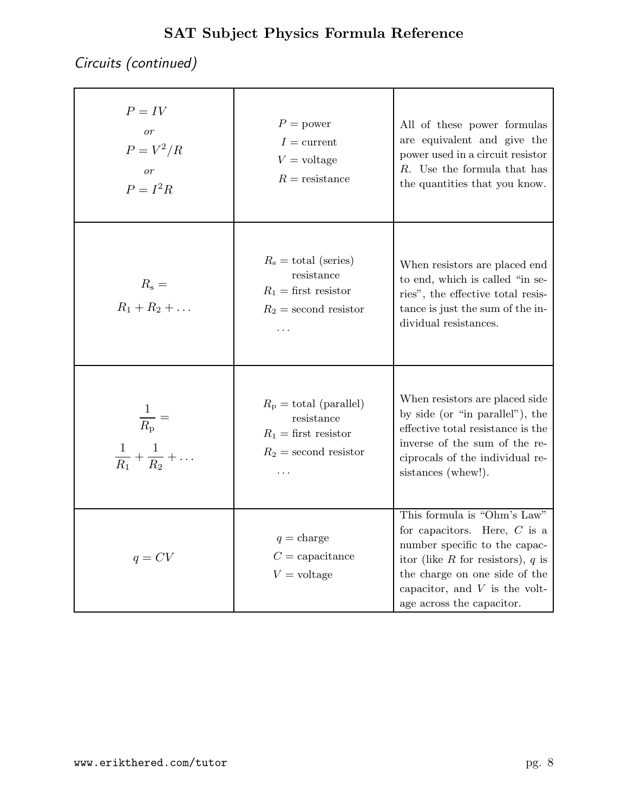Circuits (continued)

| $P = IV$<br>$\overline{or}$<br>$P = V^2/R$<br>$\overline{or}$<br>$P = I^2 R$ | $P = power$<br>$I =$ current<br>$V = \text{voltage}$<br>$R =$ resistance                               | All of these power formulas<br>are equivalent and give the<br>power used in a circuit resistor<br>$R$ . Use the formula that has<br>the quantities that you know.                                                                      |
|------------------------------------------------------------------------------|--------------------------------------------------------------------------------------------------------|----------------------------------------------------------------------------------------------------------------------------------------------------------------------------------------------------------------------------------------|
| $R_{\rm s} =$<br>$R_1 + R_2 + $                                              | $R_{\rm s} =$ total (series)<br>resistance<br>$R_1 =$ first resistor<br>$R_2$ = second resistor<br>.   | When resistors are placed end<br>to end, which is called "in se-<br>ries", the effective total resis-<br>tance is just the sum of the in-<br>dividual resistances.                                                                     |
| $\frac{1}{R_{\rm p}} =$<br>$\frac{1}{R_1} + \frac{1}{R_2} + \ldots$          | $R_{\rm p} =$ total (parallel)<br>resistance<br>$R_1 =$ first resistor<br>$R_2$ = second resistor<br>. | When resistors are placed side<br>by side (or "in parallel"), the<br>effective total resistance is the<br>inverse of the sum of the re-<br>ciprocals of the individual re-<br>sistances (whew!).                                       |
| $q = CV$                                                                     | $q = \text{charge}$<br>$C =$ capacitance<br>$V = \text{voltage}$                                       | This formula is "Ohm's Law"<br>for capacitors. Here, $C$ is a<br>number specific to the capac-<br>itor (like R for resistors), $q$ is<br>the charge on one side of the<br>capacitor, and $V$ is the volt-<br>age across the capacitor. |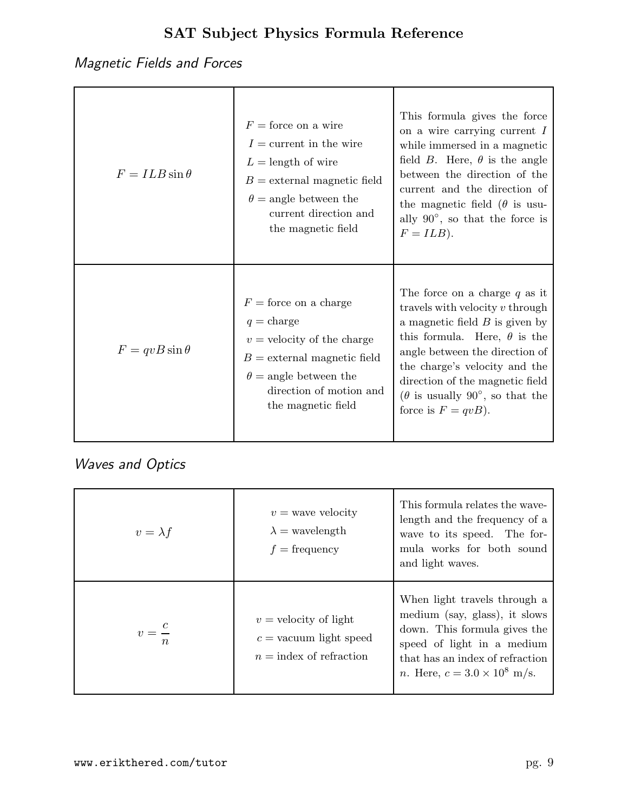# Magnetic Fields and Forces

| $F = ILB\sin\theta$ | $F =$ force on a wire<br>$I =$ current in the wire<br>$L =$ length of wire<br>$B =$ external magnetic field<br>$\theta$ = angle between the<br>current direction and<br>the magnetic field       | This formula gives the force<br>on a wire carrying current $I$<br>while immersed in a magnetic<br>field <i>B</i> . Here, $\theta$ is the angle<br>between the direction of the<br>current and the direction of<br>the magnetic field ( $\theta$ is usu-<br>ally $90^{\circ}$ , so that the force is<br>$F = ILB$ ).                |
|---------------------|--------------------------------------------------------------------------------------------------------------------------------------------------------------------------------------------------|------------------------------------------------------------------------------------------------------------------------------------------------------------------------------------------------------------------------------------------------------------------------------------------------------------------------------------|
| $F = qvB\sin\theta$ | $F =$ force on a charge<br>$q = \text{charge}$<br>$v =$ velocity of the charge<br>$B =$ external magnetic field<br>$\theta$ = angle between the<br>direction of motion and<br>the magnetic field | The force on a charge $q$ as it<br>travels with velocity $v$ through<br>a magnetic field $B$ is given by<br>this formula. Here, $\theta$ is the<br>angle between the direction of<br>the charge's velocity and the<br>direction of the magnetic field<br>$(\theta$ is usually 90 $^{\circ}$ , so that the<br>force is $F = qvB$ ). |

# Waves and Optics

| $v = \lambda f$  | $v =$ wave velocity<br>$\lambda$ = wavelength<br>$f = \text{frequency}$          | This formula relates the wave-<br>length and the frequency of a<br>wave to its speed. The for-<br>mula works for both sound<br>and light waves.                                                               |
|------------------|----------------------------------------------------------------------------------|---------------------------------------------------------------------------------------------------------------------------------------------------------------------------------------------------------------|
| $\boldsymbol{n}$ | $v =$ velocity of light<br>$c =$ vacuum light speed<br>$n =$ index of refraction | When light travels through a<br>medium (say, glass), it slows<br>down. This formula gives the<br>speed of light in a medium<br>that has an index of refraction<br><i>n</i> . Here, $c = 3.0 \times 10^8$ m/s. |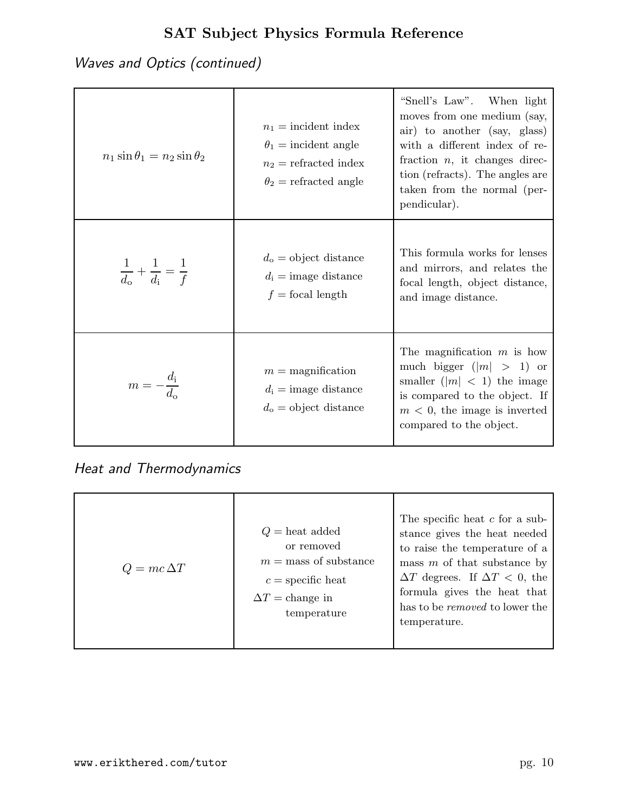Waves and Optics (continued)

| $n_1 \sin \theta_1 = n_2 \sin \theta_2$     | $n_1$ = incident index<br>$\theta_1$ = incident angle<br>$n_2$ = refracted index<br>$\theta_2$ = refracted angle | "Snell's Law". When light<br>moves from one medium (say,<br>air) to another (say, glass)<br>with a different index of re-<br>fraction $n$ , it changes direc-<br>tion (refracts). The angles are<br>taken from the normal (per-<br>pendicular). |
|---------------------------------------------|------------------------------------------------------------------------------------------------------------------|-------------------------------------------------------------------------------------------------------------------------------------------------------------------------------------------------------------------------------------------------|
| $rac{1}{d_0} + \frac{1}{d_i} = \frac{1}{f}$ | $d_{o} =$ object distance<br>$d_i = \text{image distance}$<br>$f =$ focal length                                 | This formula works for lenses<br>and mirrors, and relates the<br>focal length, object distance,<br>and image distance.                                                                                                                          |
| $m=-\frac{d_{\rm i}}{d_{\rm o}}$            | $m =$ magnification<br>$d_i = \text{image distance}$<br>$d_{o} =$ object distance                                | The magnification $m$ is how<br>much bigger $( m  > 1)$ or<br>smaller $( m  < 1)$ the image<br>is compared to the object. If<br>$m < 0$ , the image is inverted<br>compared to the object.                                                      |

Heat and Thermodynamics

| $Q = mc \Delta T$ | $Q =$ heat added<br>or removed<br>$m =$ mass of substance<br>$c =$ specific heat<br>$\Delta T$ = change in<br>temperature | The specific heat $c$ for a sub-<br>stance gives the heat needed<br>to raise the temperature of a<br>mass $m$ of that substance by<br>$\Delta T$ degrees. If $\Delta T < 0$ , the<br>formula gives the heat that<br>has to be <i>removed</i> to lower the<br>temperature. |
|-------------------|---------------------------------------------------------------------------------------------------------------------------|---------------------------------------------------------------------------------------------------------------------------------------------------------------------------------------------------------------------------------------------------------------------------|
|-------------------|---------------------------------------------------------------------------------------------------------------------------|---------------------------------------------------------------------------------------------------------------------------------------------------------------------------------------------------------------------------------------------------------------------------|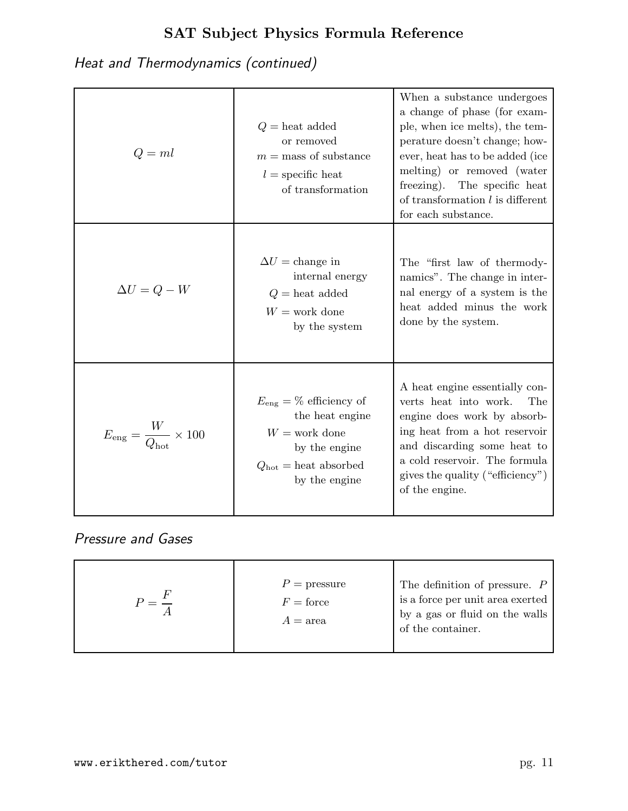Heat and Thermodynamics (continued)

| $Q=ml$                                           | $Q =$ heat added<br>or removed<br>$m =$ mass of substance<br>$l =$ specific heat<br>of transformation                                                  | When a substance undergoes<br>a change of phase (for exam-<br>ple, when ice melts), the tem-<br>perature doesn't change; how-<br>ever, heat has to be added (ice<br>melting) or removed (water<br>freezing). The specific heat<br>of transformation $l$ is different<br>for each substance. |
|--------------------------------------------------|--------------------------------------------------------------------------------------------------------------------------------------------------------|---------------------------------------------------------------------------------------------------------------------------------------------------------------------------------------------------------------------------------------------------------------------------------------------|
| $\Delta U = Q - W$                               | $\Delta U =$ change in<br>internal energy<br>$Q =$ heat added<br>$W =$ work done<br>by the system                                                      | The "first law of thermody-<br>namics". The change in inter-<br>nal energy of a system is the<br>heat added minus the work<br>done by the system.                                                                                                                                           |
| $E_{\rm eng} = \frac{W}{Q_{\rm hot}} \times 100$ | $E_{\text{eng}} = \%$ efficiency of<br>the heat engine<br>$W =$ work done<br>by the engine<br>$Q_{\text{hot}} = \text{heat absorbed}$<br>by the engine | A heat engine essentially con-<br>verts heat into work.<br>The<br>engine does work by absorb-<br>ing heat from a hot reservoir<br>and discarding some heat to<br>a cold reservoir. The formula<br>gives the quality ("efficiency")<br>of the engine.                                        |

Pressure and Gases

|  | $P =$ pressure<br>$F =$ force<br>$A = \text{area}$ | The definition of pressure. $P$<br>is a force per unit area exerted<br>by a gas or fluid on the walls<br>of the container. |
|--|----------------------------------------------------|----------------------------------------------------------------------------------------------------------------------------|
|--|----------------------------------------------------|----------------------------------------------------------------------------------------------------------------------------|